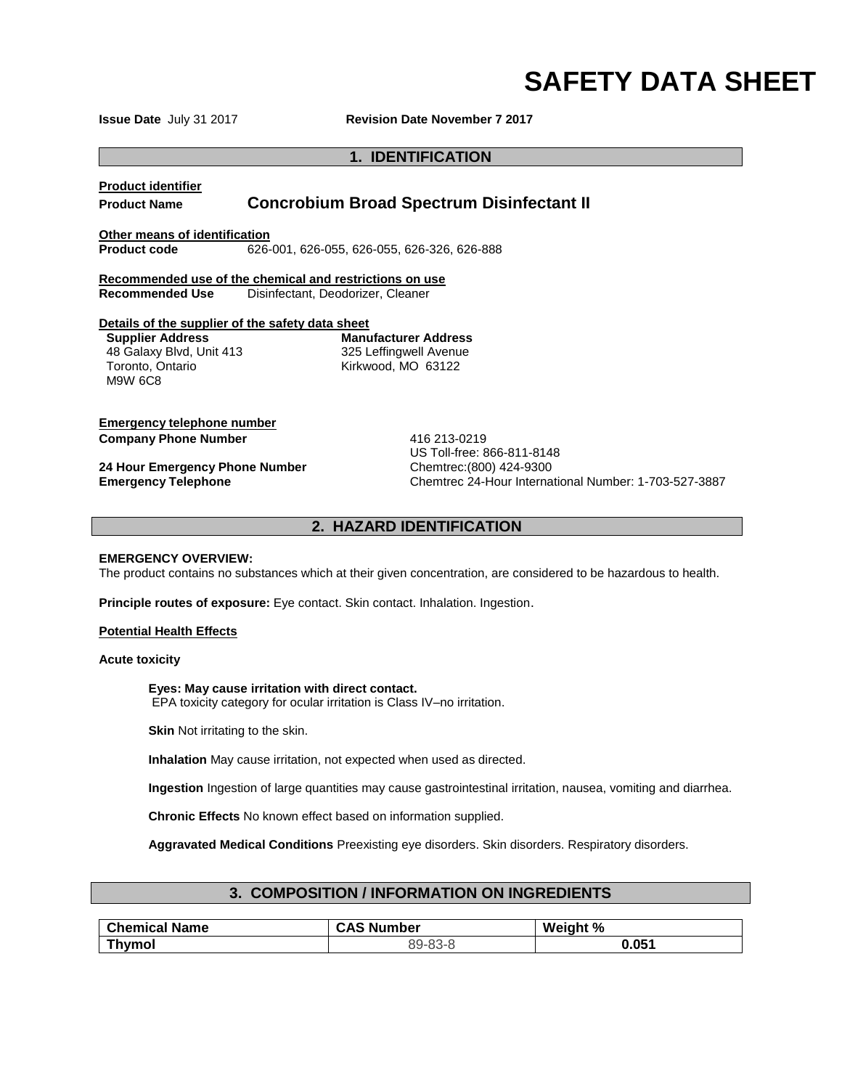**Issue Date July 31 2017 Revision Date November 7 2017** 

## **1. IDENTIFICATION**

# **Product identifier**

# **Product Name Concrobium Broad Spectrum Disinfectant II**

**Other means of identification**

**Product code** 626-001, 626-055, 626-055, 626-326, 626-888

**Recommended use of the chemical and restrictions on use Recommended Use** Disinfectant, Deodorizer, Cleaner

#### **Details of the supplier of the safety data sheet**

**Supplier Address** 48 Galaxy Blvd, Unit 413 Toronto, Ontario M9W 6C8

**Manufacturer Address** 325 Leffingwell Avenue Kirkwood, MO 63122

## **Emergency telephone number Company Phone Number 116 213-0219**

**24 Hour Emergency Phone Number Chemtrec:(800) 424-9300**<br> **Emergency Telephone Chemtrec 24-Hour Internal** 

US Toll-free: 866-811-8148 **Emergency Telephone** Chemtrec 24-Hour International Number: 1-703-527-3887

## **2. HAZARD IDENTIFICATION**

#### **EMERGENCY OVERVIEW:**

The product contains no substances which at their given concentration, are considered to be hazardous to health.

**Principle routes of exposure:** Eye contact. Skin contact. Inhalation. Ingestion.

#### **Potential Health Effects**

#### **Acute toxicity**

#### **Eyes: May cause irritation with direct contact.**

EPA toxicity category for ocular irritation is Class IV–no irritation.

**Skin** Not irritating to the skin.

**Inhalation** May cause irritation, not expected when used as directed.

**Ingestion** Ingestion of large quantities may cause gastrointestinal irritation, nausea, vomiting and diarrhea.

**Chronic Effects** No known effect based on information supplied.

**Aggravated Medical Conditions** Preexisting eye disorders. Skin disorders. Respiratory disorders.

## **3. COMPOSITION / INFORMATION ON INGREDIENTS**

| <b>Chemical Name</b> | <b>CAS Number</b> | Weight % |
|----------------------|-------------------|----------|
| Thvmol               | 89-83-8           | 0.051    |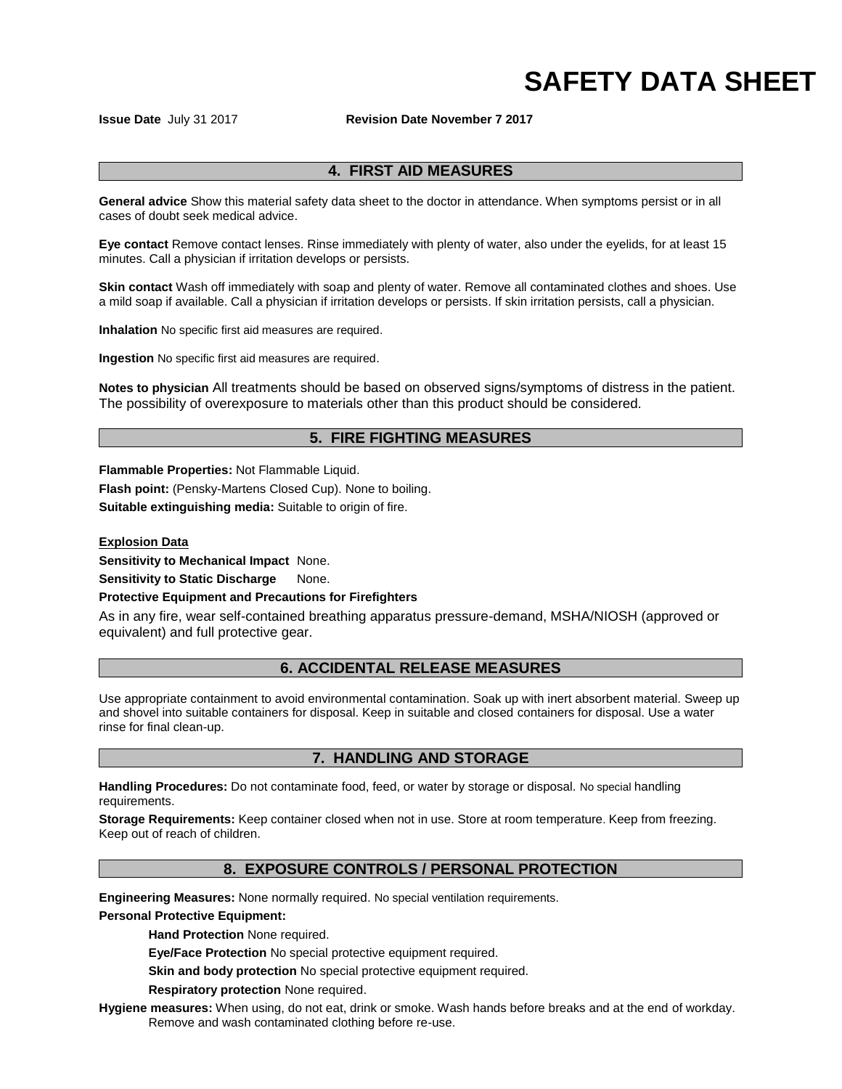**Issue Date July 31 2017 Revision Date November 7 2017** 

## **4. FIRST AID MEASURES**

**General advice** Show this material safety data sheet to the doctor in attendance. When symptoms persist or in all cases of doubt seek medical advice.

**Eye contact** Remove contact lenses. Rinse immediately with plenty of water, also under the eyelids, for at least 15 minutes. Call a physician if irritation develops or persists.

**Skin contact** Wash off immediately with soap and plenty of water. Remove all contaminated clothes and shoes. Use a mild soap if available. Call a physician if irritation develops or persists. If skin irritation persists, call a physician.

**Inhalation** No specific first aid measures are required.

**Ingestion** No specific first aid measures are required.

**Notes to physician** All treatments should be based on observed signs/symptoms of distress in the patient. The possibility of overexposure to materials other than this product should be considered.

# **5. FIRE FIGHTING MEASURES**

**Flammable Properties:** Not Flammable Liquid.

**Flash point:** (Pensky-Martens Closed Cup). None to boiling.

**Suitable extinguishing media:** Suitable to origin of fire.

#### **Explosion Data**

**Sensitivity to Mechanical Impact** None.

**Sensitivity to Static Discharge None.** 

## **Protective Equipment and Precautions for Firefighters**

As in any fire, wear self-contained breathing apparatus pressure-demand, MSHA/NIOSH (approved or equivalent) and full protective gear.

## **6. ACCIDENTAL RELEASE MEASURES**

Use appropriate containment to avoid environmental contamination. Soak up with inert absorbent material. Sweep up and shovel into suitable containers for disposal. Keep in suitable and closed containers for disposal. Use a water rinse for final clean-up.

## **7. HANDLING AND STORAGE**

**Handling Procedures:** Do not contaminate food, feed, or water by storage or disposal. No special handling requirements.

**Storage Requirements:** Keep container closed when not in use. Store at room temperature. Keep from freezing. Keep out of reach of children.

## **8. EXPOSURE CONTROLS / PERSONAL PROTECTION**

**Engineering Measures:** None normally required. No special ventilation requirements.

**Personal Protective Equipment:**

**Hand Protection** None required.

**Eye/Face Protection** No special protective equipment required.

**Skin and body protection** No special protective equipment required.

**Respiratory protection** None required.

**Hygiene measures:** When using, do not eat, drink or smoke. Wash hands before breaks and at the end of workday. Remove and wash contaminated clothing before re-use.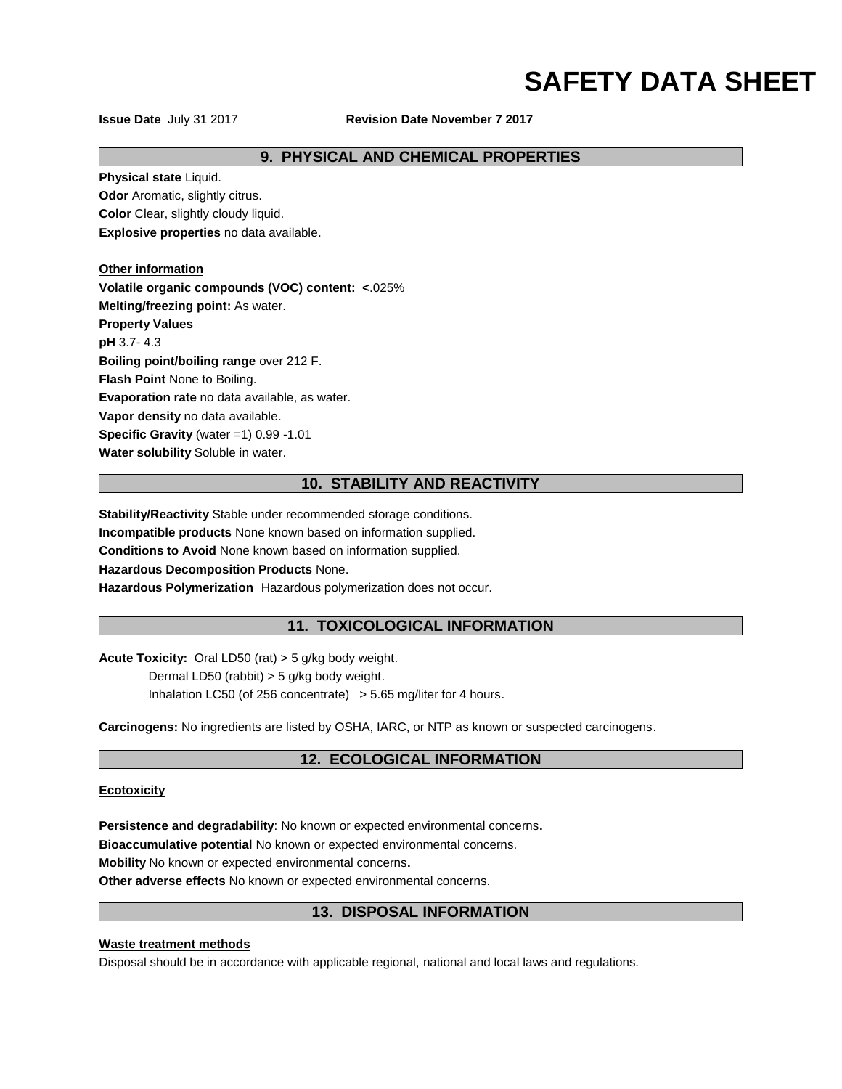**Issue Date July 31 2017 Revision Date November 7 2017** 

## **9. PHYSICAL AND CHEMICAL PROPERTIES**

**Physical state** Liquid.

**Odor** Aromatic, slightly citrus.

**Color** Clear, slightly cloudy liquid. **Explosive properties** no data available.

**Other information**

**Volatile organic compounds (VOC) content: <**.025% **Melting/freezing point:** As water. **Property Values pH** 3.7- 4.3 **Boiling point/boiling range** over 212 F. **Flash Point** None to Boiling. **Evaporation rate** no data available, as water. **Vapor density** no data available. **Specific Gravity** (water =1) 0.99 -1.01

**Water solubility** Soluble in water.

# **10. STABILITY AND REACTIVITY**

**Stability/Reactivity** Stable under recommended storage conditions. **Incompatible products** None known based on information supplied. **Conditions to Avoid** None known based on information supplied. **Hazardous Decomposition Products** None. **Hazardous Polymerization** Hazardous polymerization does not occur.

# **11. TOXICOLOGICAL INFORMATION**

**Acute Toxicity:** Oral LD50 (rat) > 5 g/kg body weight.

Dermal LD50 (rabbit) > 5 g/kg body weight.

Inhalation LC50 (of 256 concentrate) > 5.65 mg/liter for 4 hours.

**Carcinogens:** No ingredients are listed by OSHA, IARC, or NTP as known or suspected carcinogens.

# **12. ECOLOGICAL INFORMATION**

## **Ecotoxicity**

**Persistence and degradability**: No known or expected environmental concerns**.**

**Bioaccumulative potential** No known or expected environmental concerns.

**Mobility** No known or expected environmental concerns**.**

**Other adverse effects** No known or expected environmental concerns.

# **13. DISPOSAL INFORMATION**

## **Waste treatment methods**

Disposal should be in accordance with applicable regional, national and local laws and regulations.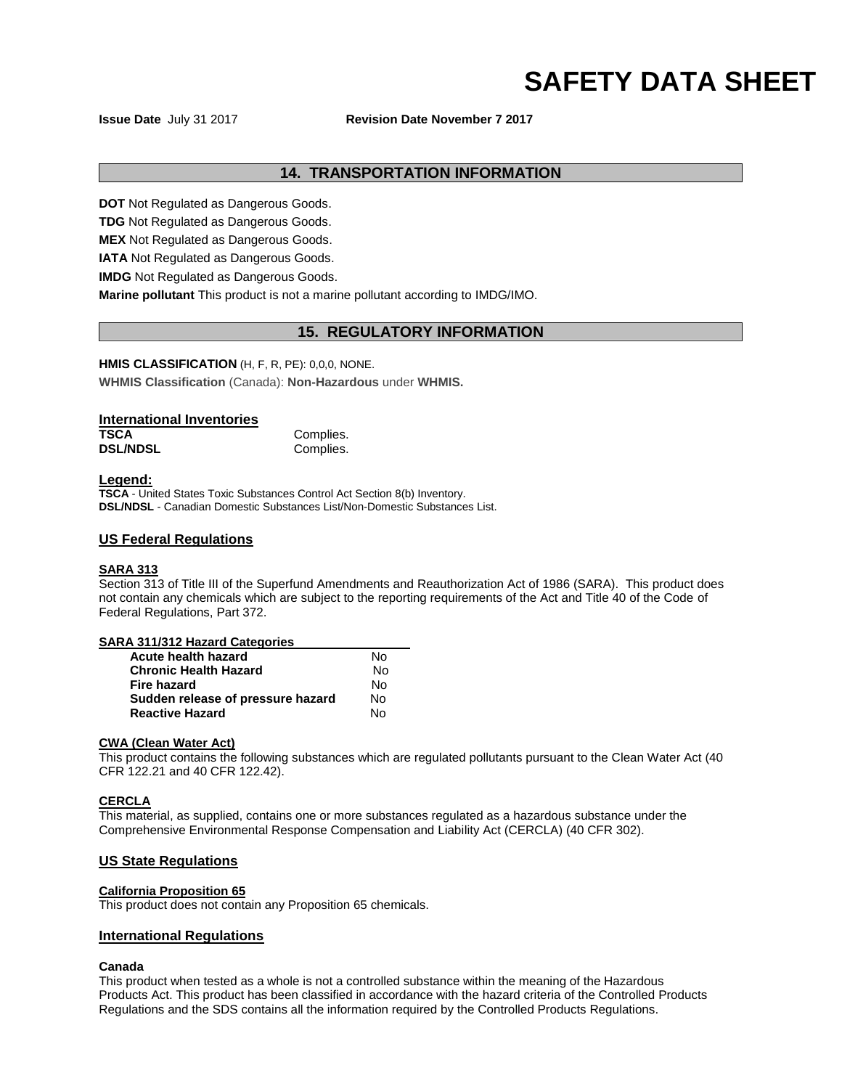**Issue Date July 31 2017 Revision Date November 7 2017** 

## **14. TRANSPORTATION INFORMATION**

**DOT** Not Regulated as Dangerous Goods.

**TDG** Not Regulated as Dangerous Goods.

**MEX** Not Regulated as Dangerous Goods.

**IATA** Not Regulated as Dangerous Goods.

**IMDG** Not Regulated as Dangerous Goods.

**Marine pollutant** This product is not a marine pollutant according to IMDG/IMO.

## **15. REGULATORY INFORMATION**

## **HMIS CLASSIFICATION** (H, F, R, PE): 0,0,0, NONE.

**WHMIS Classification** (Canada): **Non-Hazardous** under **WHMIS.**

## **International Inventories**

| <b>TSCA</b>     | Complies. |
|-----------------|-----------|
| <b>DSL/NDSL</b> | Complies. |

## **Legend:**

**TSCA** - United States Toxic Substances Control Act Section 8(b) Inventory. **DSL/NDSL** - Canadian Domestic Substances List/Non-Domestic Substances List.

### **US Federal Regulations**

### **SARA 313**

Section 313 of Title III of the Superfund Amendments and Reauthorization Act of 1986 (SARA). This product does not contain any chemicals which are subject to the reporting requirements of the Act and Title 40 of the Code of Federal Regulations, Part 372.

### **SARA 311/312 Hazard Categories**

| Acute health hazard               | N٥ |
|-----------------------------------|----|
| <b>Chronic Health Hazard</b>      | N٥ |
| Fire hazard                       | N٥ |
| Sudden release of pressure hazard | N٥ |
| <b>Reactive Hazard</b>            | N٥ |

#### **CWA (Clean Water Act)**

This product contains the following substances which are regulated pollutants pursuant to the Clean Water Act (40 CFR 122.21 and 40 CFR 122.42).

## **CERCLA**

This material, as supplied, contains one or more substances regulated as a hazardous substance under the Comprehensive Environmental Response Compensation and Liability Act (CERCLA) (40 CFR 302).

## **US State Regulations**

## **California Proposition 65**

This product does not contain any Proposition 65 chemicals.

## **International Regulations**

#### **Canada**

This product when tested as a whole is not a controlled substance within the meaning of the Hazardous Products Act. This product has been classified in accordance with the hazard criteria of the Controlled Products Regulations and the SDS contains all the information required by the Controlled Products Regulations.